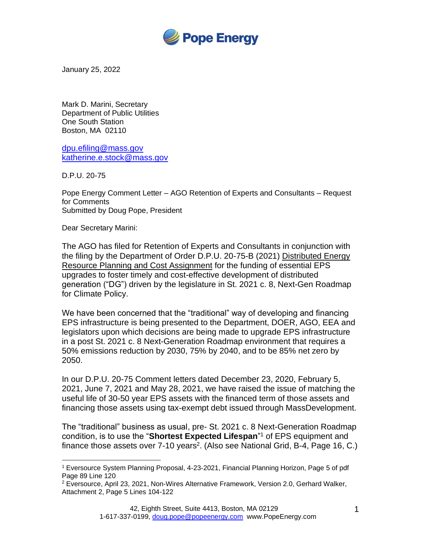

January 25, 2022

Mark D. Marini, Secretary Department of Public Utilities One South Station Boston, MA 02110

[dpu.efiling@mass.gov](mailto:dpu.efiling@mass.gov) [katherine.e.stock@mass.gov](mailto:katherine.e.stock@mass.gov)

D.P.U. 20-75

Pope Energy Comment Letter – AGO Retention of Experts and Consultants – Request for Comments Submitted by Doug Pope, President

Dear Secretary Marini:

The AGO has filed for Retention of Experts and Consultants in conjunction with the filing by the Department of Order D.P.U. 20-75-B (2021) Distributed Energy Resource Planning and Cost Assignment for the funding of essential EPS upgrades to foster timely and cost-effective development of distributed generation ("DG") driven by the legislature in St. 2021 c. 8, Next-Gen Roadmap for Climate Policy.

We have been concerned that the "traditional" way of developing and financing EPS infrastructure is being presented to the Department, DOER, AGO, EEA and legislators upon which decisions are being made to upgrade EPS infrastructure in a post St. 2021 c. 8 Next-Generation Roadmap environment that requires a 50% emissions reduction by 2030, 75% by 2040, and to be 85% net zero by 2050.

In our D.P.U. 20-75 Comment letters dated December 23, 2020, February 5, 2021, June 7, 2021 and May 28, 2021, we have raised the issue of matching the useful life of 30-50 year EPS assets with the financed term of those assets and financing those assets using tax-exempt debt issued through MassDevelopment.

The "traditional" business as usual, pre- St. 2021 c. 8 Next-Generation Roadmap condition, is to use the "**Shortest Expected Lifespan**" <sup>1</sup> of EPS equipment and finance those assets over  $7-10$  years<sup>2</sup>. (Also see National Grid, B-4, Page 16, C.)

<sup>1</sup> Eversource System Planning Proposal, 4-23-2021, Financial Planning Horizon, Page 5 of pdf Page 89 Line 120

 $2$  Eversource, April 23, 2021, Non-Wires Alternative Framework, Version 2.0, Gerhard Walker, Attachment 2, Page 5 Lines 104-122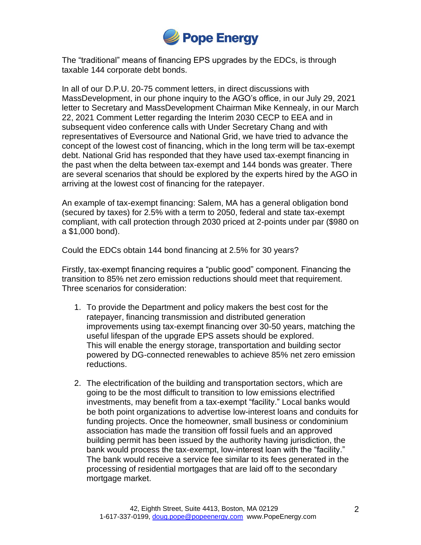

The "traditional" means of financing EPS upgrades by the EDCs, is through taxable 144 corporate debt bonds.

In all of our D.P.U. 20-75 comment letters, in direct discussions with MassDevelopment, in our phone inquiry to the AGO's office, in our July 29, 2021 letter to Secretary and MassDevelopment Chairman Mike Kennealy, in our March 22, 2021 Comment Letter regarding the Interim 2030 CECP to EEA and in subsequent video conference calls with Under Secretary Chang and with representatives of Eversource and National Grid, we have tried to advance the concept of the lowest cost of financing, which in the long term will be tax-exempt debt. National Grid has responded that they have used tax-exempt financing in the past when the delta between tax-exempt and 144 bonds was greater. There are several scenarios that should be explored by the experts hired by the AGO in arriving at the lowest cost of financing for the ratepayer.

An example of tax-exempt financing: Salem, MA has a general obligation bond (secured by taxes) for 2.5% with a term to 2050, federal and state tax-exempt compliant, with call protection through 2030 priced at 2-points under par (\$980 on a \$1,000 bond).

Could the EDCs obtain 144 bond financing at 2.5% for 30 years?

Firstly, tax-exempt financing requires a "public good" component. Financing the transition to 85% net zero emission reductions should meet that requirement. Three scenarios for consideration:

- 1. To provide the Department and policy makers the best cost for the ratepayer, financing transmission and distributed generation improvements using tax-exempt financing over 30-50 years, matching the useful lifespan of the upgrade EPS assets should be explored. This will enable the energy storage, transportation and building sector powered by DG-connected renewables to achieve 85% net zero emission reductions.
- 2. The electrification of the building and transportation sectors, which are going to be the most difficult to transition to low emissions electrified investments, may benefit from a tax-exempt "facility." Local banks would be both point organizations to advertise low-interest loans and conduits for funding projects. Once the homeowner, small business or condominium association has made the transition off fossil fuels and an approved building permit has been issued by the authority having jurisdiction, the bank would process the tax-exempt, low-interest loan with the "facility." The bank would receive a service fee similar to its fees generated in the processing of residential mortgages that are laid off to the secondary mortgage market.